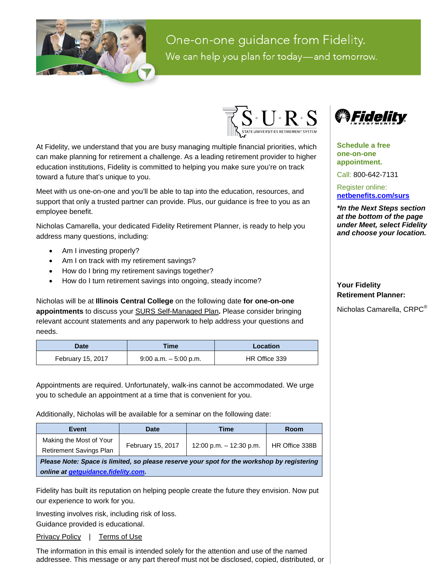

One-on-one guidance from Fidelity. We can help you plan for today-and tomorrow.



At Fidelity, we understand that you are busy managing multiple financial priorities, which can make planning for retirement a challenge. As a leading retirement provider to higher education institutions, Fidelity is committed to helping you make sure you're on track toward a future that's unique to you.

Meet with us one-on-one and you'll be able to tap into the education, resources, and support that only a trusted partner can provide. Plus, our guidance is free to you as an employee benefit.

Nicholas Camarella, your dedicated Fidelity Retirement Planner, is ready to help you address many questions, including:

- Am I investing properly?
- Am I on track with my retirement savings?
- How do I bring my retirement savings together?
- How do I turn retirement savings into ongoing, steady income?

Nicholas will be at **Illinois Central College** on the following date **for one-on-one appointments** to discuss your SURS Self-Managed Plan**.** Please consider bringing relevant account statements and any paperwork to help address your questions and needs.

| Date              | Time                     | Location      |  |
|-------------------|--------------------------|---------------|--|
| February 15, 2017 | $9:00$ a.m. $-5:00$ p.m. | HR Office 339 |  |

Appointments are required. Unfortunately, walk-ins cannot be accommodated. We urge you to schedule an appointment at a time that is convenient for you.

Additionally, Nicholas will be available for a seminar on the following date:

| Event                                                                                                                                    | Date              | Time                      | Room           |  |
|------------------------------------------------------------------------------------------------------------------------------------------|-------------------|---------------------------|----------------|--|
| Making the Most of Your<br><b>Retirement Savings Plan</b>                                                                                | February 15, 2017 | 12:00 p.m. $-$ 12:30 p.m. | HR Office 338B |  |
| Please Note: Space is limited, so please reserve your spot for the workshop by registering<br>online at <i>getguidance.fidelity.com.</i> |                   |                           |                |  |

Fidelity has built its reputation on helping people create the future they envision. Now put our experience to work for you.

Investing involves risk, including risk of loss.

Guidance provided is educational. [Privacy Policy](https://nb.fidelity.com/public/nb/default/resourceslibrary/articles/privacypolicy) | [Terms of Use](https://pcs.fidelity.com/public/content/Shared/PreLogMisc/ILI)

The information in this email is intended solely for the attention and use of the named addressee. This message or any part thereof must not be disclosed, copied, distributed, or



**Schedule a free one-on-one appointment.**

Call: 800-642-7131

Register online: **[netbenefits.com/surs](https://nb.fidelity.com/public/nb/surs/home)**

*\*In the Next Steps section at the bottom of the page under Meet, select Fidelity and choose your location.*

**Your Fidelity Retirement Planner:**

Nicholas Camarella, CRPC®